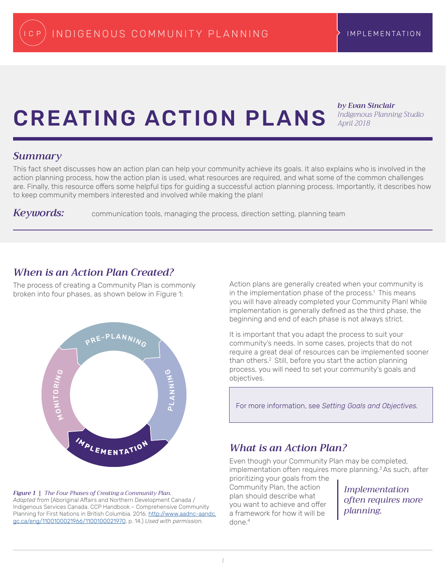# CREATING ACTION PLANS

*by Evan Sinclair Indigenous Planning Studio April 2018*

#### *Summary*

This fact sheet discusses how an action plan can help your community achieve its goals. It also explains who is involved in the action planning process, how the action plan is used, what resources are required, and what some of the common challenges are. Finally, this resource offers some helpful tips for guiding a successful action planning process. Importantly, it describes how to keep community members interested and involved while making the plan!

*Keywords:* communication tools, managing the process, direction setting, planning team

# *When is an Action Plan Created?*

The process of creating a Community Plan is commonly broken into four phases, as shown below in Figure 1:



*Figure 1 | The Four Phases of Creating a Community Plan. Adapted from* (Aboriginal Affairs and Northern Development Canada / Indigenous Services Canada. CCP Handbook – Comprehensive Community Planning for First Nations in British Columbia. 2016. [http://www.aadnc-aandc.](http://www.aadnc-aandc.gc.ca/eng/1100100021966/1100100021970) [gc.ca/eng/1100100021966/1100100021970](http://www.aadnc-aandc.gc.ca/eng/1100100021966/1100100021970). p. 14.) *Used with permission.*

Action plans are generally created when your community is in the implementation phase of the process.<sup>1</sup> This means you will have already completed your Community Plan! While implementation is generally defined as the third phase, the beginning and end of each phase is not always strict.

It is important that you adapt the process to suit your community's needs. In some cases, projects that do not require a great deal of resources can be implemented sooner than others.2 Still, before you start the action planning process, you will need to set your community's goals and objectives.

For more information, see *Setting Goals and Objectives.*

# *What is an Action Plan?*

Even though your Community Plan may be completed, implementation often requires more planning. $3$  As such, after

prioritizing your goals from the Community Plan, the action plan should describe what you want to achieve and offer a framework for how it will be done.4

*Implementation often requires more planning.*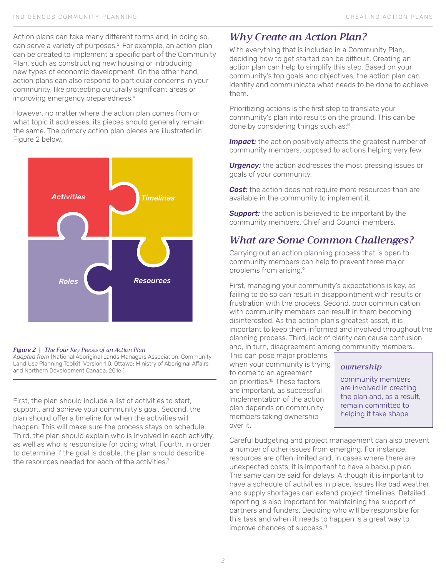Action plans can take many different forms and, in doing so, can serve a variety of purposes.<sup>5</sup> For example, an action plan can be created to implement a specific part of the Community Plan, such as constructing new housing or introducing new types of economic development. On the other hand, action plans can also respond to particular concerns in your community, like protecting culturally significant areas or improving emergency preparedness.<sup>6</sup>

However, no matter where the action plan comes from or what topic it addresses, its pieces should generally remain the same. The primary action plan pieces are illustrated in Figure 2 below.



#### *Figure 2 | The Four Key Pieces of an Action Plan*

*Adapted from* (National Aboriginal Lands Managers Association. Community Land Use Planning Toolkit, Version 1.0. Ottawa: Ministry of Aboriginal Affairs and Northern Development Canada. 2016.)

First, the plan should include a list of activities to start, support, and achieve your community's goal. Second, the plan should offer a timeline for when the activities will happen. This will make sure the process stays on schedule. Third, the plan should explain who is involved in each activity, as well as who is responsible for doing what. Fourth, in order to determine if the goal is doable, the plan should describe the resources needed for each of the activities.<sup>7</sup>

# *Why Create an Action Plan?*

With everything that is included in a Community Plan, deciding how to get started can be difficult. Creating an action plan can help to simplify this step. Based on your community's top goals and objectives, the action plan can identify and communicate what needs to be done to achieve them.

Prioritizing actions is the first step to translate your community's plan into results on the ground. This can be done by considering things such as:<sup>8</sup>

**Impact:** the action positively affects the greatest number of community members, opposed to actions helping very few.

*Urgency:* the action addresses the most pressing issues or goals of your community.

**Cost:** the action does not require more resources than are available in the community to implement it.

**Support:** the action is believed to be important by the community members, Chief and Council members.

# *What are Some Common Challenges?*

Carrying out an action planning process that is open to community members can help to prevent three major problems from arising.<sup>9</sup>

First, managing your community's expectations is key, as failing to do so can result in disappointment with results or frustration with the process. Second, poor communication with community members can result in them becoming disinterested. As the action plan's greatest asset, it is important to keep them informed and involved throughout the planning process. Third, lack of clarity can cause confusion and, in turn, disagreement among community members.

This can pose major problems when your community is trying to come to an agreement on priorities.<sup>10</sup> These factors are important, as successful implementation of the action plan depends on community members taking ownership over it.

## *ownership*

community members are involved in creating the plan and, as a result, remain committed to helping it take shape

Careful budgeting and project management can also prevent a number of other issues from emerging. For instance, resources are often limited and, in cases where there are unexpected costs, it is important to have a backup plan. The same can be said for delays. Although it is important to have a schedule of activities in place, issues like bad weather and supply shortages can extend project timelines. Detailed reporting is also important for maintaining the support of partners and funders. Deciding who will be responsible for this task and when it needs to happen is a great way to improve chances of success.<sup>11</sup>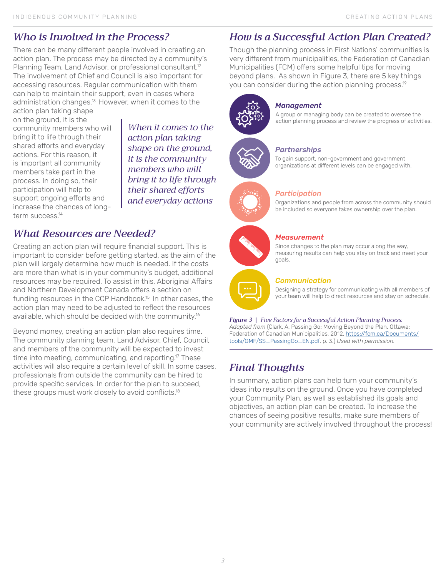# *Who is Involved in the Process?*

There can be many different people involved in creating an action plan. The process may be directed by a community's Planning Team, Land Advisor, or professional consultant.<sup>12</sup> The involvement of Chief and Council is also important for accessing resources. Regular communication with them can help to maintain their support, even in cases where administration changes.<sup>13</sup> However, when it comes to the

action plan taking shape on the ground, it is the community members who will bring it to life through their shared efforts and everyday actions. For this reason, it is important all community members take part in the process. In doing so, their participation will help to support ongoing efforts and increase the chances of longterm success.<sup>14</sup>

*When it comes to the action plan taking shape on the ground, it is the community members who will bring it to life through their shared efforts and everyday actions*

# *What Resources are Needed?*

Creating an action plan will require financial support. This is important to consider before getting started, as the aim of the plan will largely determine how much is needed. If the costs are more than what is in your community's budget, additional resources may be required. To assist in this, Aboriginal Affairs and Northern Development Canada offers a section on funding resources in the CCP Handbook.<sup>15</sup> In other cases, the action plan may need to be adjusted to reflect the resources available, which should be decided with the community.<sup>16</sup>

Beyond money, creating an action plan also requires time. The community planning team, Land Advisor, Chief, Council, and members of the community will be expected to invest time into meeting, communicating, and reporting.<sup>17</sup> These activities will also require a certain level of skill. In some cases, professionals from outside the community can be hired to provide specific services. In order for the plan to succeed, these groups must work closely to avoid conflicts.<sup>18</sup>

# *How is a Successful Action Plan Created?*

Though the planning process in First Nations' communities is very different from municipalities, the Federation of Canadian Municipalities (FCM) offers some helpful tips for moving beyond plans. As shown in Figure 3, there are 5 key things you can consider during the action planning process.<sup>19</sup>



#### *Management*

*Partnerships*

A group or managing body can be created to oversee the action planning process and review the progress of activities.

To gain support, non-government and government organizations at different levels can be engaged with.





#### *Participation*

Organizations and people from across the community should be included so everyone takes ownership over the plan.

## *Measurement*

Since changes to the plan may occur along the way, measuring results can help you stay on track and meet your goals.



#### *Communication*

Designing a strategy for communicating with all members of your team will help to direct resources and stay on schedule.

#### *Figure 3 | Five Factors for a Successful Action Planning Process.*

*Adapted from* (Clark, A. Passing Go: Moving Beyond the Plan. Ottawa: Federation of Canadian Municipalities. 2012. [https://fcm.ca/Documents/](https://fcm.ca/Documents/tools/GMF/SS_PassingGo_EN.pdf) [tools/GMF/SS\\_PassingGo\\_EN.pdf](https://fcm.ca/Documents/tools/GMF/SS_PassingGo_EN.pdf). p. 3.) *Used with permission.*

# *Final Thoughts*

In summary, action plans can help turn your community's ideas into results on the ground. Once you have completed your Community Plan, as well as established its goals and objectives, an action plan can be created. To increase the chances of seeing positive results, make sure members of your community are actively involved throughout the process!